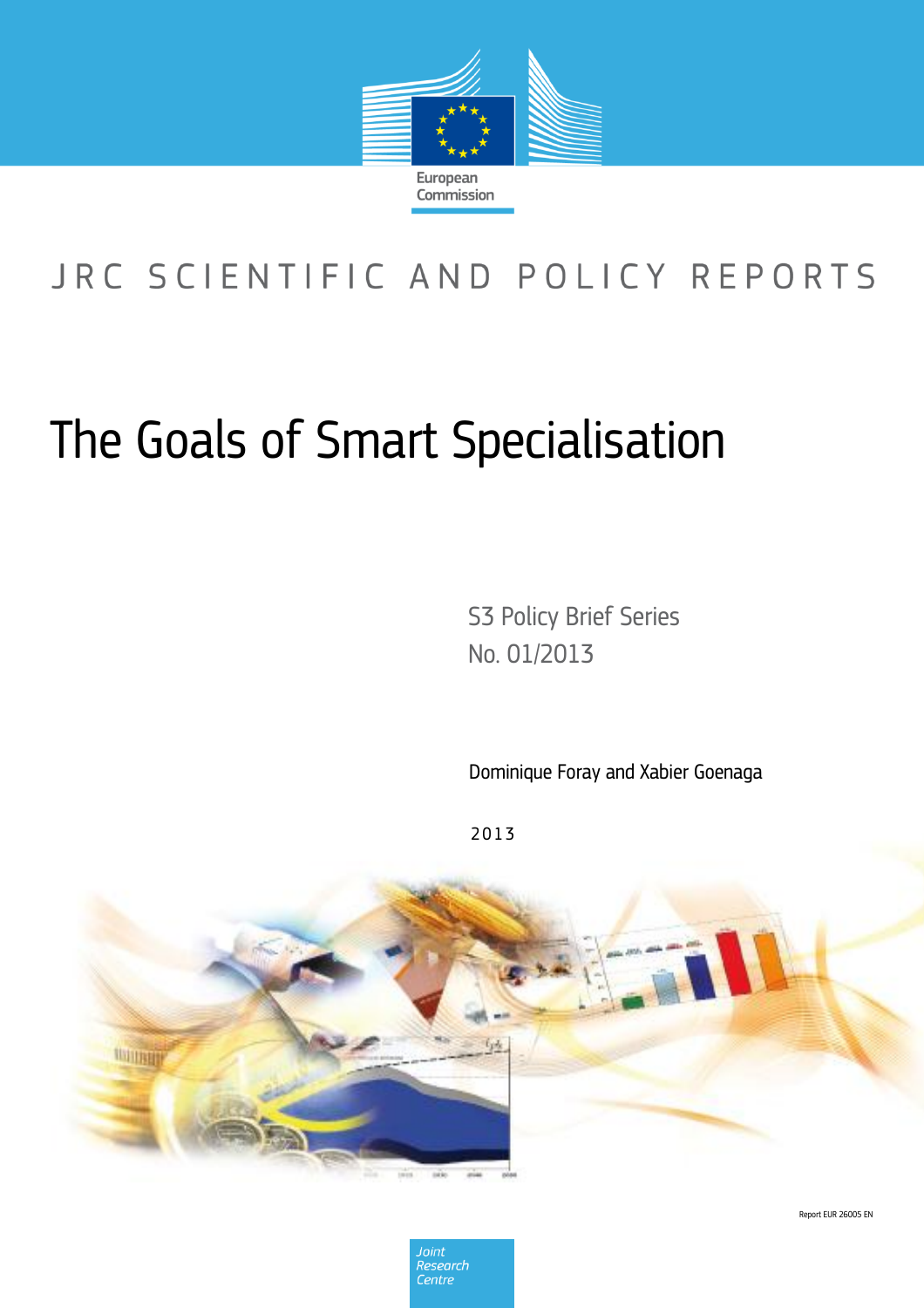

# JRC SCIENTIFIC AND POLICY REPORTS

# The Goals of Smart Specialisation

S3 Policy Brief Series No. 01/2013

Dominique Foray and Xabier Goenaga

2 0 1 3



Report EUR 26005 EN

Joint Research Centre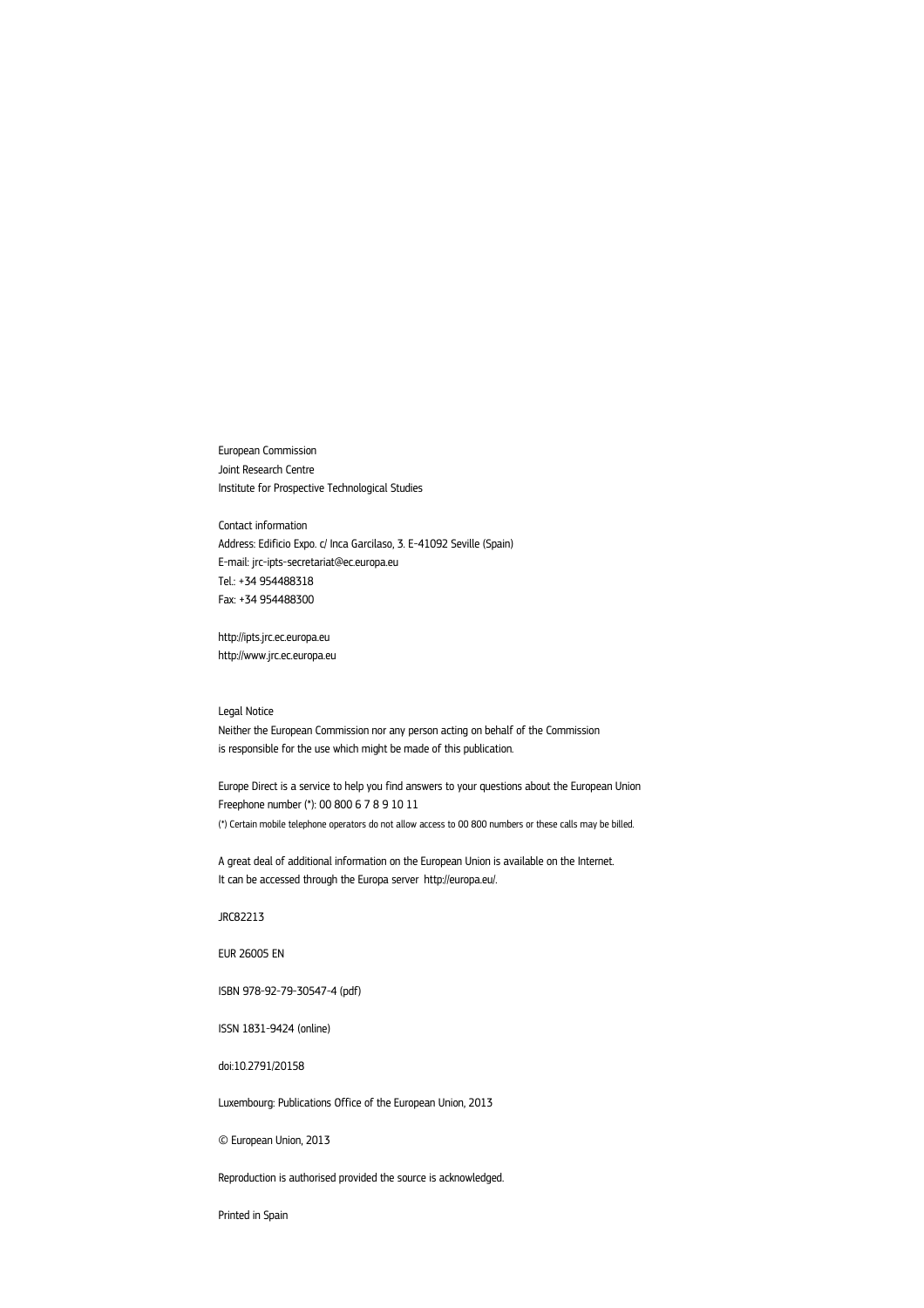European Commission Joint Research Centre Institute for Prospective Technological Studies

Contact information Address: Edificio Expo. c/ Inca Garcilaso, 3. E-41092 Seville (Spain) E-mail: jrc-ipts-secretariat@ec.europa.eu Tel.: +34 954488318 Fax: +34 954488300

http://ipts.jrc.ec.europa.eu http://www.jrc.ec.europa.eu

#### Legal Notice

Neither the European Commission nor any person acting on behalf of the Commission is responsible for the use which might be made of this publication.

Europe Direct is a service to help you find answers to your questions about the European Union Freephone number (\*): 00 800 6 7 8 9 10 11 (\*) Certain mobile telephone operators do not allow access to 00 800 numbers or these calls may be billed.

A great deal of additional information on the European Union is available on the Internet. It can be accessed through the Europa server http://europa.eu/.

JRC82213

EUR 26005 EN

ISBN 978-92-79-30547-4 (pdf)

ISSN 1831-9424 (online)

doi:10.2791/20158

Luxembourg: Publications Office of the European Union, 2013

© European Union, 2013

Reproduction is authorised provided the source is acknowledged.

Printed in Spain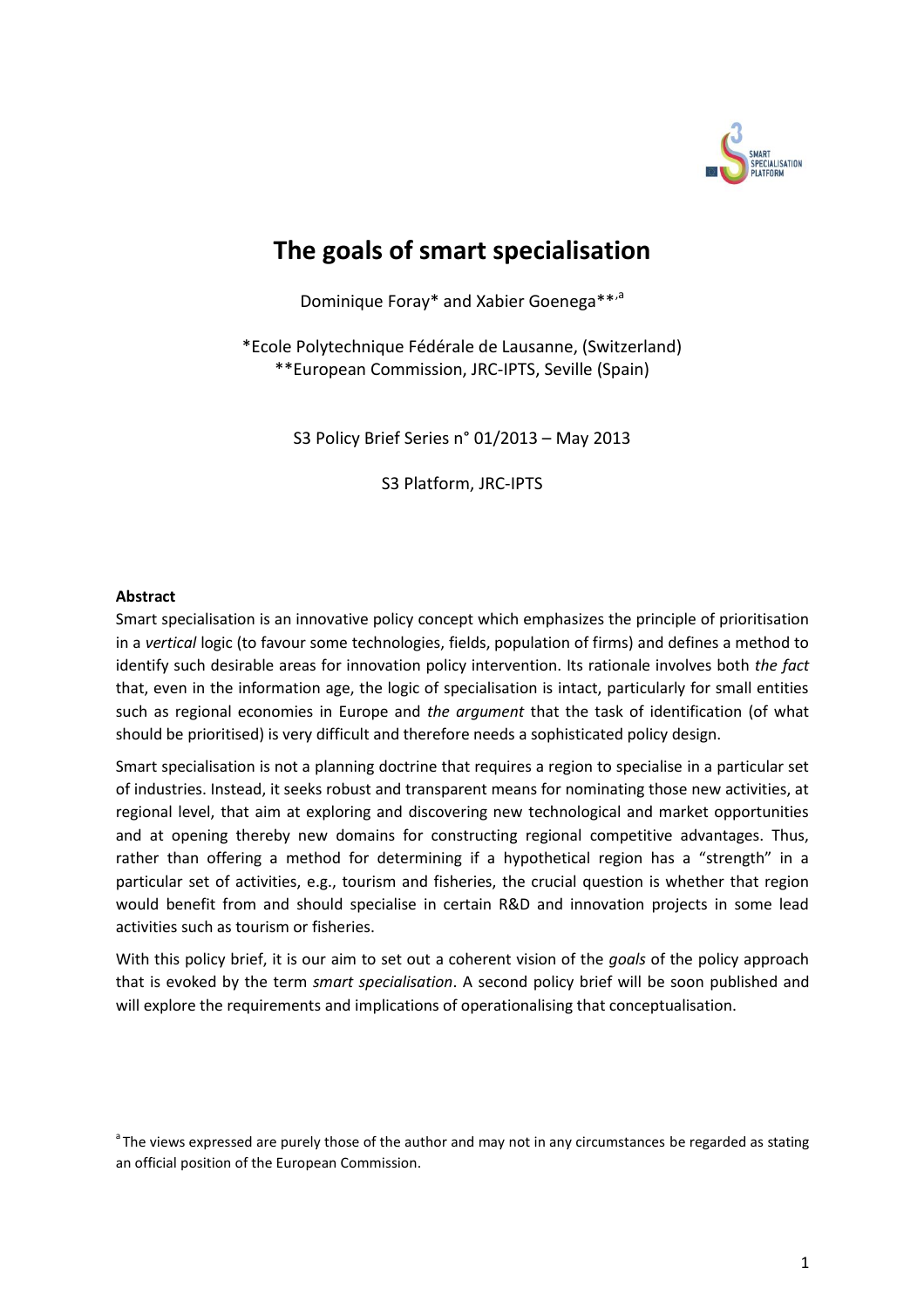

## **The goals of smart specialisation**

Dominique Foray\* and Xabier Goenega\*\*,<sup>a</sup>

\*Ecole Polytechnique Fédérale de Lausanne, (Switzerland) \*\*European Commission, JRC-IPTS, Seville (Spain)

S3 Policy Brief Series n° 01/2013 – May 2013

S3 Platform, JRC-IPTS

#### **Abstract**

Smart specialisation is an innovative policy concept which emphasizes the principle of prioritisation in a *vertical* logic (to favour some technologies, fields, population of firms) and defines a method to identify such desirable areas for innovation policy intervention. Its rationale involves both *the fact* that, even in the information age, the logic of specialisation is intact, particularly for small entities such as regional economies in Europe and *the argument* that the task of identification (of what should be prioritised) is very difficult and therefore needs a sophisticated policy design.

Smart specialisation is not a planning doctrine that requires a region to specialise in a particular set of industries. Instead, it seeks robust and transparent means for nominating those new activities, at regional level, that aim at exploring and discovering new technological and market opportunities and at opening thereby new domains for constructing regional competitive advantages. Thus, rather than offering a method for determining if a hypothetical region has a "strength" in a particular set of activities, e.g., tourism and fisheries, the crucial question is whether that region would benefit from and should specialise in certain R&D and innovation projects in some lead activities such as tourism or fisheries.

With this policy brief, it is our aim to set out a coherent vision of the *goals* of the policy approach that is evoked by the term *smart specialisation*. A second policy brief will be soon published and will explore the requirements and implications of operationalising that conceptualisation.

<sup>&</sup>lt;sup>a</sup> The views expressed are purely those of the author and may not in any circumstances be regarded as stating an official position of the European Commission.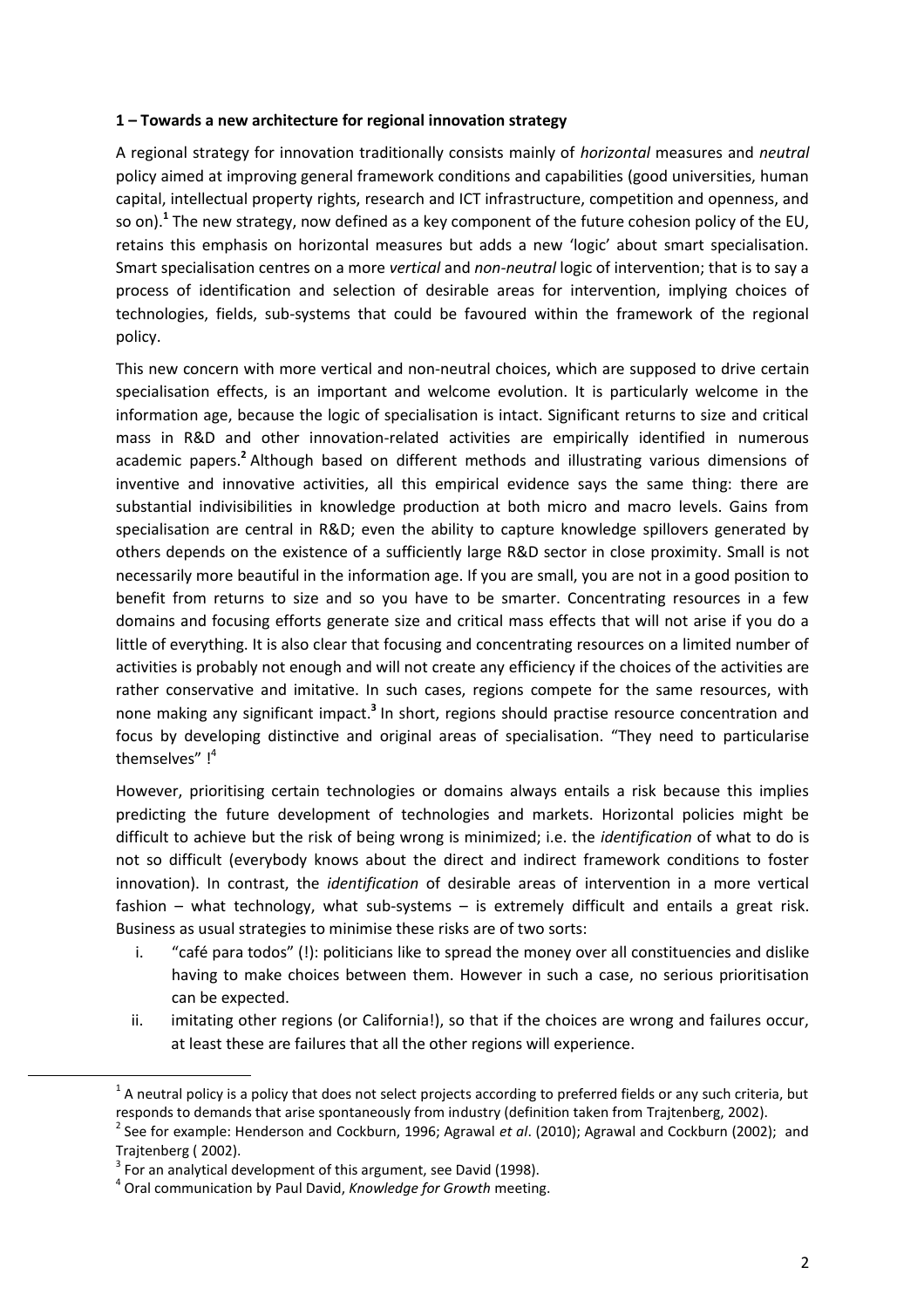#### **1 – Towards a new architecture for regional innovation strategy**

A regional strategy for innovation traditionally consists mainly of *horizontal* measures and *neutral* policy aimed at improving general framework conditions and capabilities (good universities, human capital, intellectual property rights, research and ICT infrastructure, competition and openness, and so on). **1** The new strategy, now defined as a key component of the future cohesion policy of the EU, retains this emphasis on horizontal measures but adds a new 'logic' about smart specialisation. Smart specialisation centres on a more *vertical* and *non-neutral* logic of intervention; that is to say a process of identification and selection of desirable areas for intervention, implying choices of technologies, fields, sub-systems that could be favoured within the framework of the regional policy.

This new concern with more vertical and non-neutral choices, which are supposed to drive certain specialisation effects, is an important and welcome evolution. It is particularly welcome in the information age, because the logic of specialisation is intact. Significant returns to size and critical mass in R&D and other innovation-related activities are empirically identified in numerous academic papers.<sup>2</sup> Although based on different methods and illustrating various dimensions of inventive and innovative activities, all this empirical evidence says the same thing: there are substantial indivisibilities in knowledge production at both micro and macro levels. Gains from specialisation are central in R&D; even the ability to capture knowledge spillovers generated by others depends on the existence of a sufficiently large R&D sector in close proximity. Small is not necessarily more beautiful in the information age. If you are small, you are not in a good position to benefit from returns to size and so you have to be smarter. Concentrating resources in a few domains and focusing efforts generate size and critical mass effects that will not arise if you do a little of everything. It is also clear that focusing and concentrating resources on a limited number of activities is probably not enough and will not create any efficiency if the choices of the activities are rather conservative and imitative. In such cases, regions compete for the same resources, with none making any significant impact.<sup>3</sup> In short, regions should practise resource concentration and focus by developing distinctive and original areas of specialisation. "They need to particularise themselves" !<sup>4</sup>

However, prioritising certain technologies or domains always entails a risk because this implies predicting the future development of technologies and markets. Horizontal policies might be difficult to achieve but the risk of being wrong is minimized; i.e. the *identification* of what to do is not so difficult (everybody knows about the direct and indirect framework conditions to foster innovation). In contrast, the *identification* of desirable areas of intervention in a more vertical fashion – what technology, what sub-systems – is extremely difficult and entails a great risk. Business as usual strategies to minimise these risks are of two sorts:

- i. "café para todos" (!): politicians like to spread the money over all constituencies and dislike having to make choices between them. However in such a case, no serious prioritisation can be expected.
- ii. imitating other regions (or California!), so that if the choices are wrong and failures occur, at least these are failures that all the other regions will experience.

 $^1$  A neutral policy is a policy that does not select projects according to preferred fields or any such criteria, but responds to demands that arise spontaneously from industry (definition taken from Trajtenberg, 2002).

<sup>2</sup> See for example: Henderson and Cockburn, 1996; Agrawal *et al*. (2010); Agrawal and Cockburn (2002); and Trajtenberg ( 2002).

 $3$  For an analytical development of this argument, see David (1998).

<sup>4</sup> Oral communication by Paul David, *Knowledge for Growth* meeting.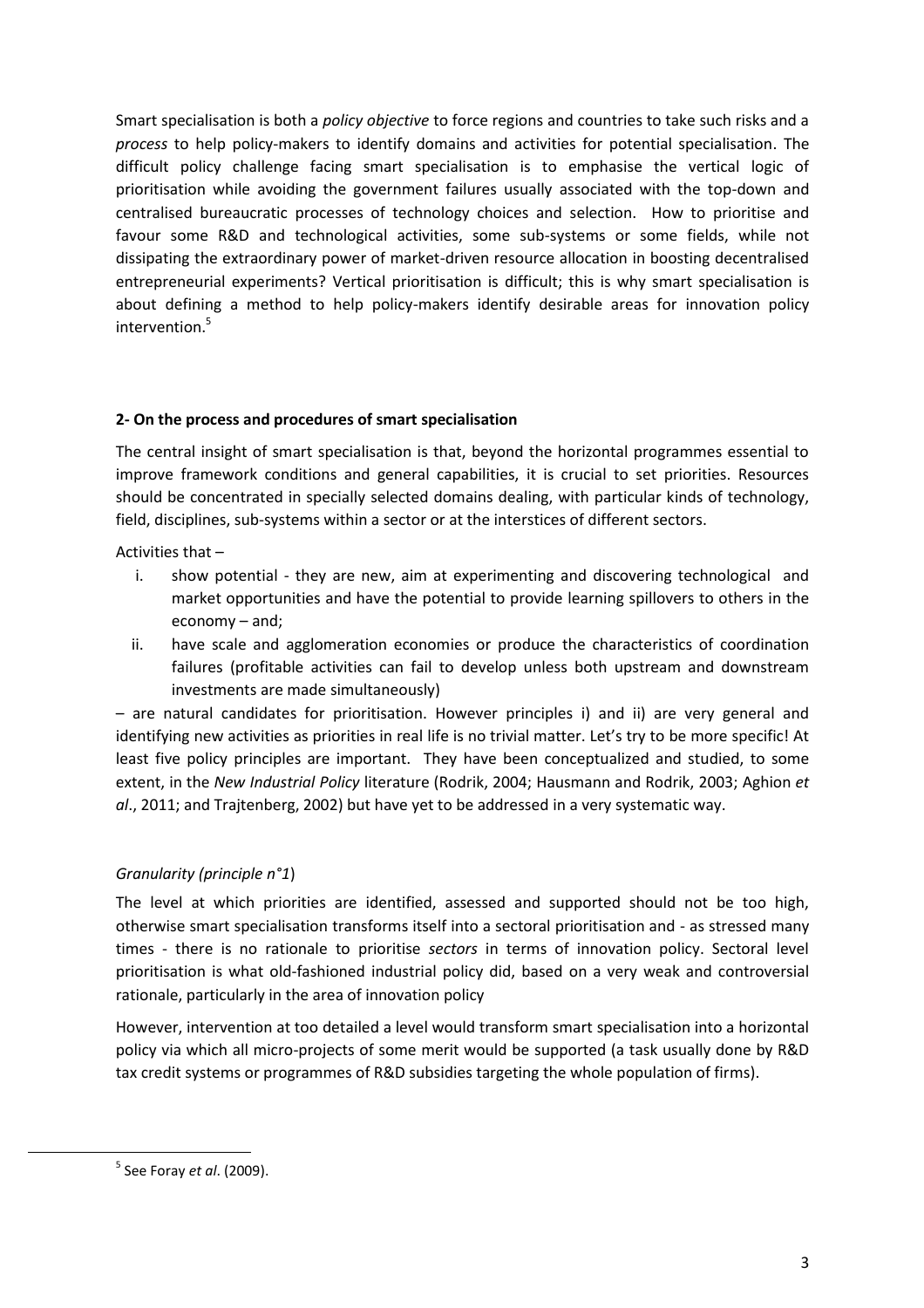Smart specialisation is both a *policy objective* to force regions and countries to take such risks and a *process* to help policy-makers to identify domains and activities for potential specialisation. The difficult policy challenge facing smart specialisation is to emphasise the vertical logic of prioritisation while avoiding the government failures usually associated with the top-down and centralised bureaucratic processes of technology choices and selection. How to prioritise and favour some R&D and technological activities, some sub-systems or some fields, while not dissipating the extraordinary power of market-driven resource allocation in boosting decentralised entrepreneurial experiments? Vertical prioritisation is difficult; this is why smart specialisation is about defining a method to help policy-makers identify desirable areas for innovation policy intervention.<sup>5</sup>

#### **2- On the process and procedures of smart specialisation**

The central insight of smart specialisation is that, beyond the horizontal programmes essential to improve framework conditions and general capabilities, it is crucial to set priorities. Resources should be concentrated in specially selected domains dealing, with particular kinds of technology, field, disciplines, sub-systems within a sector or at the interstices of different sectors.

Activities that –

- i. show potential they are new, aim at experimenting and discovering technological and market opportunities and have the potential to provide learning spillovers to others in the economy – and;
- ii. have scale and agglomeration economies or produce the characteristics of coordination failures (profitable activities can fail to develop unless both upstream and downstream investments are made simultaneously)

– are natural candidates for prioritisation. However principles i) and ii) are very general and identifying new activities as priorities in real life is no trivial matter. Let's try to be more specific! At least five policy principles are important. They have been conceptualized and studied, to some extent, in the *New Industrial Policy* literature (Rodrik, 2004; Hausmann and Rodrik, 2003; Aghion *et al*., 2011; and Trajtenberg, 2002) but have yet to be addressed in a very systematic way.

### *Granularity (principle n°1*)

The level at which priorities are identified, assessed and supported should not be too high, otherwise smart specialisation transforms itself into a sectoral prioritisation and - as stressed many times - there is no rationale to prioritise *sectors* in terms of innovation policy. Sectoral level prioritisation is what old-fashioned industrial policy did, based on a very weak and controversial rationale, particularly in the area of innovation policy

However, intervention at too detailed a level would transform smart specialisation into a horizontal policy via which all micro-projects of some merit would be supported (a task usually done by R&D tax credit systems or programmes of R&D subsidies targeting the whole population of firms).

 $\overline{a}$ 

<sup>5</sup> See Foray *et al*. (2009).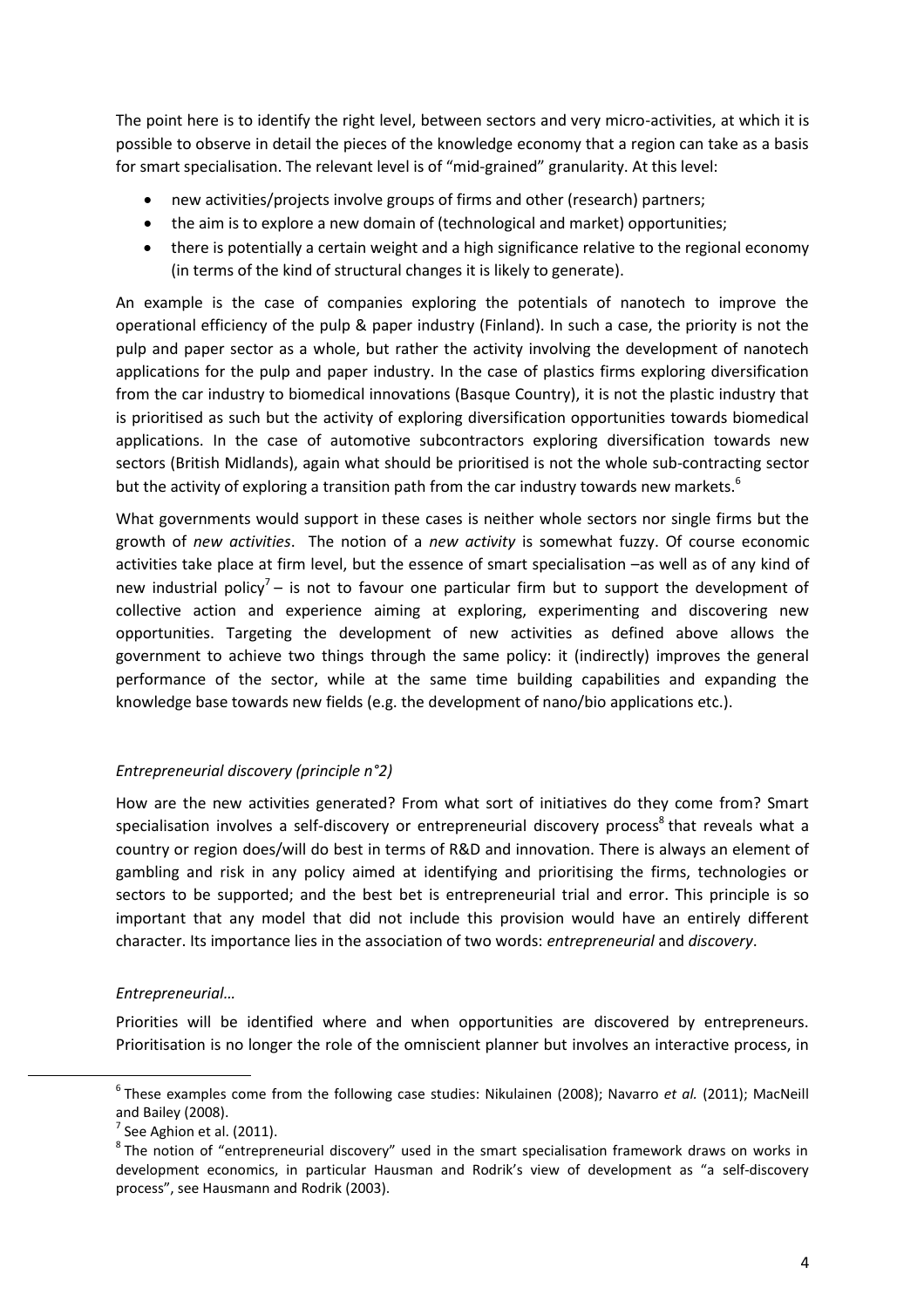The point here is to identify the right level, between sectors and very micro-activities, at which it is possible to observe in detail the pieces of the knowledge economy that a region can take as a basis for smart specialisation. The relevant level is of "mid-grained" granularity. At this level:

- new activities/projects involve groups of firms and other (research) partners;
- the aim is to explore a new domain of (technological and market) opportunities;
- there is potentially a certain weight and a high significance relative to the regional economy (in terms of the kind of structural changes it is likely to generate).

An example is the case of companies exploring the potentials of nanotech to improve the operational efficiency of the pulp & paper industry (Finland). In such a case, the priority is not the pulp and paper sector as a whole, but rather the activity involving the development of nanotech applications for the pulp and paper industry. In the case of plastics firms exploring diversification from the car industry to biomedical innovations (Basque Country), it is not the plastic industry that is prioritised as such but the activity of exploring diversification opportunities towards biomedical applications. In the case of automotive subcontractors exploring diversification towards new sectors (British Midlands), again what should be prioritised is not the whole sub-contracting sector but the activity of exploring a transition path from the car industry towards new markets.<sup>6</sup>

What governments would support in these cases is neither whole sectors nor single firms but the growth of *new activities*. The notion of a *new activity* is somewhat fuzzy. Of course economic activities take place at firm level, but the essence of smart specialisation –as well as of any kind of new industrial policy<sup>7</sup> – is not to favour one particular firm but to support the development of collective action and experience aiming at exploring, experimenting and discovering new opportunities. Targeting the development of new activities as defined above allows the government to achieve two things through the same policy: it (indirectly) improves the general performance of the sector, while at the same time building capabilities and expanding the knowledge base towards new fields (e.g. the development of nano/bio applications etc.).

#### *Entrepreneurial discovery (principle n°2)*

How are the new activities generated? From what sort of initiatives do they come from? Smart specialisation involves a self-discovery or entrepreneurial discovery process<sup>8</sup> that reveals what a country or region does/will do best in terms of R&D and innovation. There is always an element of gambling and risk in any policy aimed at identifying and prioritising the firms, technologies or sectors to be supported; and the best bet is entrepreneurial trial and error. This principle is so important that any model that did not include this provision would have an entirely different character. Its importance lies in the association of two words: *entrepreneurial* and *discovery*.

#### *Entrepreneurial…*

Priorities will be identified where and when opportunities are discovered by entrepreneurs. Prioritisation is no longer the role of the omniscient planner but involves an interactive process, in

<sup>6</sup> These examples come from the following case studies: Nikulainen (2008); Navarro *et al.* (2011); MacNeill and Bailey (2008).

 $<sup>7</sup>$  See Aghion et al. (2011).</sup>

 ${}^{8}$ The notion of "entrepreneurial discovery" used in the smart specialisation framework draws on works in development economics, in particular Hausman and Rodrik's view of development as "a self-discovery process", see Hausmann and Rodrik (2003).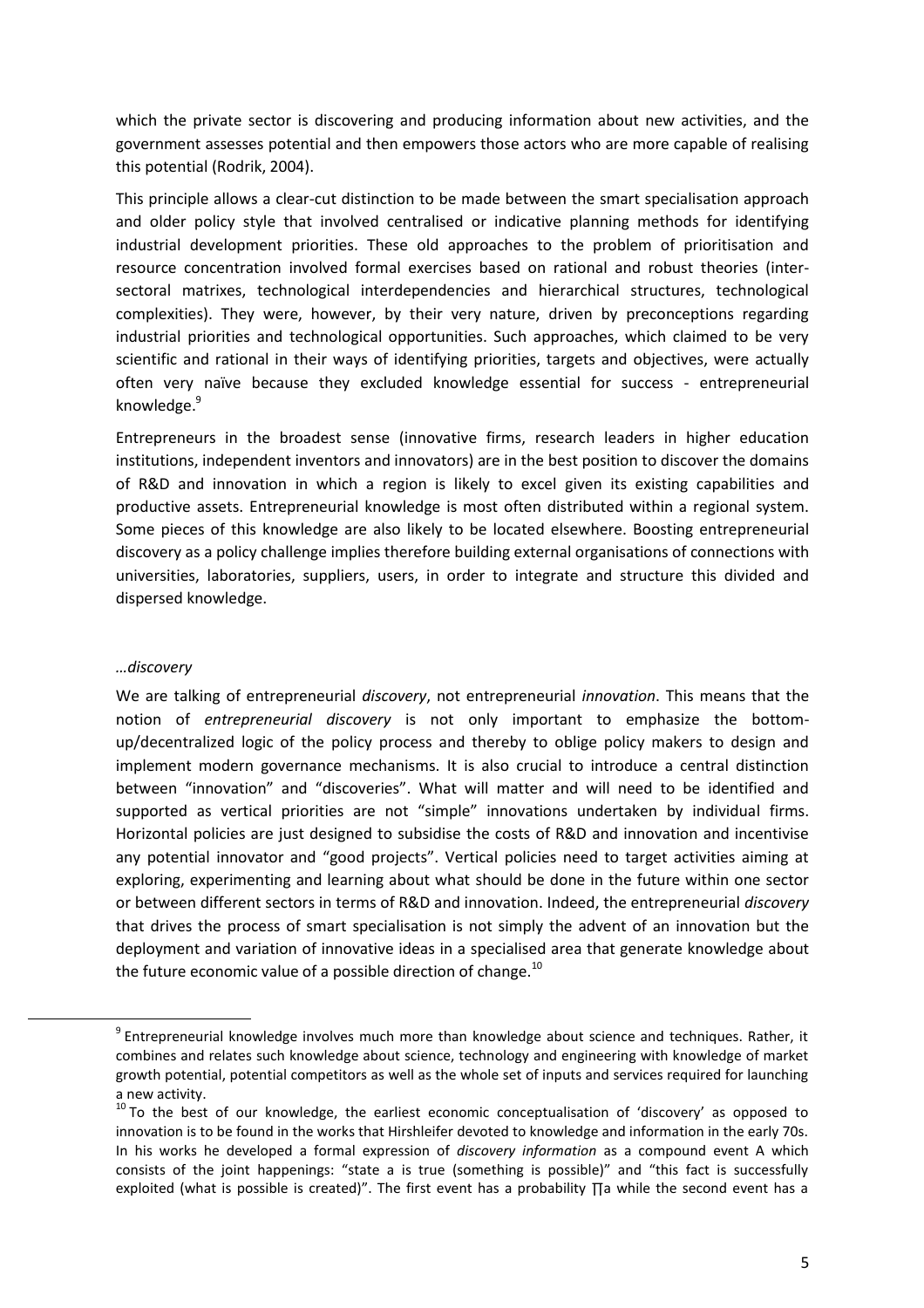which the private sector is discovering and producing information about new activities, and the government assesses potential and then empowers those actors who are more capable of realising this potential (Rodrik, 2004).

This principle allows a clear-cut distinction to be made between the smart specialisation approach and older policy style that involved centralised or indicative planning methods for identifying industrial development priorities. These old approaches to the problem of prioritisation and resource concentration involved formal exercises based on rational and robust theories (intersectoral matrixes, technological interdependencies and hierarchical structures, technological complexities). They were, however, by their very nature, driven by preconceptions regarding industrial priorities and technological opportunities. Such approaches, which claimed to be very scientific and rational in their ways of identifying priorities, targets and objectives, were actually often very naïve because they excluded knowledge essential for success - entrepreneurial knowledge. 9

Entrepreneurs in the broadest sense (innovative firms, research leaders in higher education institutions, independent inventors and innovators) are in the best position to discover the domains of R&D and innovation in which a region is likely to excel given its existing capabilities and productive assets. Entrepreneurial knowledge is most often distributed within a regional system. Some pieces of this knowledge are also likely to be located elsewhere. Boosting entrepreneurial discovery as a policy challenge implies therefore building external organisations of connections with universities, laboratories, suppliers, users, in order to integrate and structure this divided and dispersed knowledge.

#### *…discovery*

 $\overline{a}$ 

We are talking of entrepreneurial *discovery*, not entrepreneurial *innovation*. This means that the notion of *entrepreneurial discovery* is not only important to emphasize the bottomup/decentralized logic of the policy process and thereby to oblige policy makers to design and implement modern governance mechanisms. It is also crucial to introduce a central distinction between "innovation" and "discoveries". What will matter and will need to be identified and supported as vertical priorities are not "simple" innovations undertaken by individual firms. Horizontal policies are just designed to subsidise the costs of R&D and innovation and incentivise any potential innovator and "good projects". Vertical policies need to target activities aiming at exploring, experimenting and learning about what should be done in the future within one sector or between different sectors in terms of R&D and innovation. Indeed, the entrepreneurial *discovery* that drives the process of smart specialisation is not simply the advent of an innovation but the deployment and variation of innovative ideas in a specialised area that generate knowledge about the future economic value of a possible direction of change. $^{10}$ 

<sup>&</sup>lt;sup>9</sup> Entrepreneurial knowledge involves much more than knowledge about science and techniques. Rather, it combines and relates such knowledge about science, technology and engineering with knowledge of market growth potential, potential competitors as well as the whole set of inputs and services required for launching a new activity.

 $10$  To the best of our knowledge, the earliest economic conceptualisation of 'discovery' as opposed to innovation is to be found in the works that Hirshleifer devoted to knowledge and information in the early 70s. In his works he developed a formal expression of *discovery information* as a compound event A which consists of the joint happenings: "state a is true (something is possible)" and "this fact is successfully exploited (what is possible is created)". The first event has a probability ∏a while the second event has a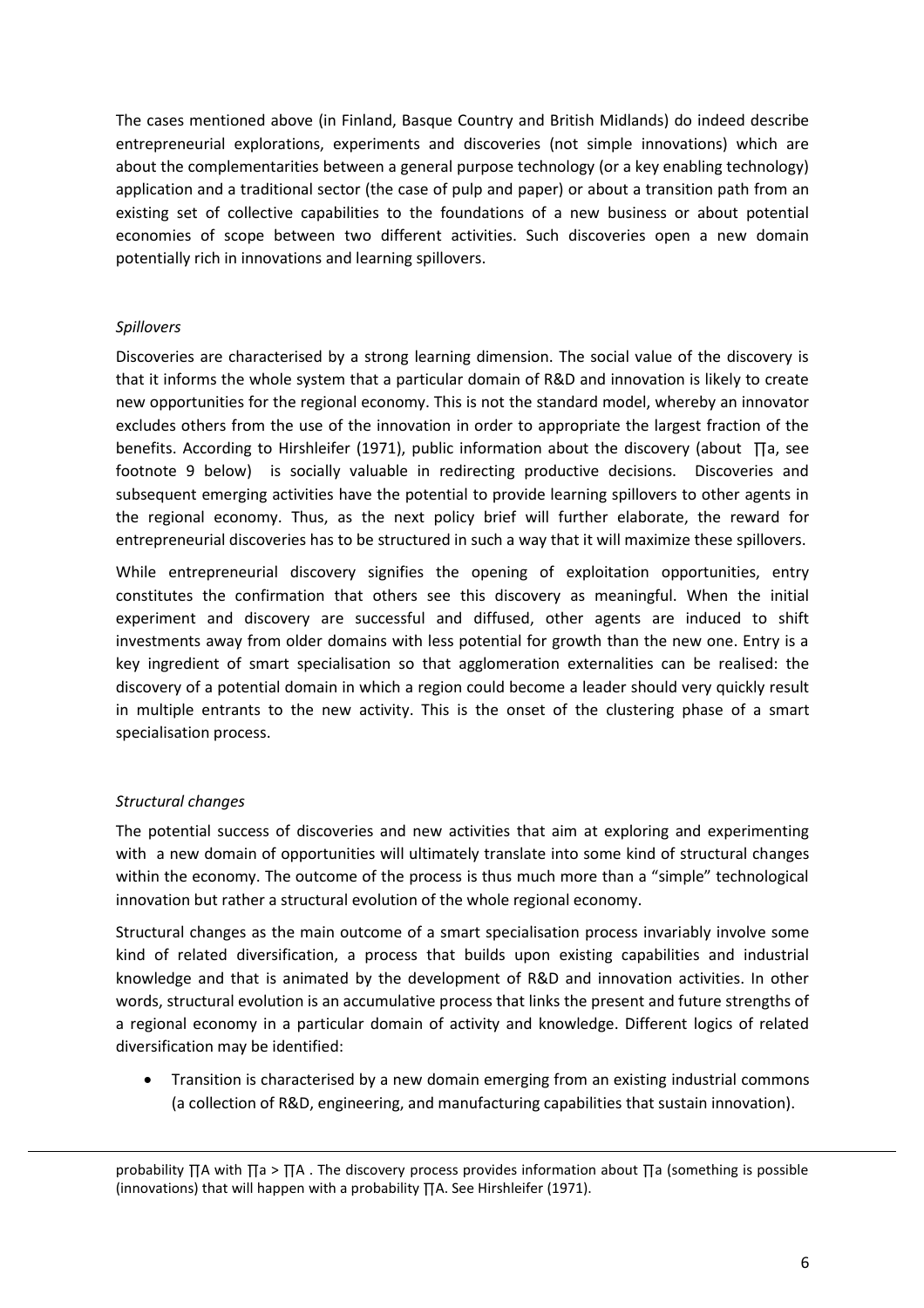The cases mentioned above (in Finland, Basque Country and British Midlands) do indeed describe entrepreneurial explorations, experiments and discoveries (not simple innovations) which are about the complementarities between a general purpose technology (or a key enabling technology) application and a traditional sector (the case of pulp and paper) or about a transition path from an existing set of collective capabilities to the foundations of a new business or about potential economies of scope between two different activities. Such discoveries open a new domain potentially rich in innovations and learning spillovers.

#### *Spillovers*

Discoveries are characterised by a strong learning dimension. The social value of the discovery is that it informs the whole system that a particular domain of R&D and innovation is likely to create new opportunities for the regional economy. This is not the standard model, whereby an innovator excludes others from the use of the innovation in order to appropriate the largest fraction of the benefits. According to Hirshleifer (1971), public information about the discovery (about ∏a, see footnote 9 below) is socially valuable in redirecting productive decisions. Discoveries and subsequent emerging activities have the potential to provide learning spillovers to other agents in the regional economy. Thus, as the next policy brief will further elaborate, the reward for entrepreneurial discoveries has to be structured in such a way that it will maximize these spillovers.

While entrepreneurial discovery signifies the opening of exploitation opportunities, entry constitutes the confirmation that others see this discovery as meaningful. When the initial experiment and discovery are successful and diffused, other agents are induced to shift investments away from older domains with less potential for growth than the new one. Entry is a key ingredient of smart specialisation so that agglomeration externalities can be realised: the discovery of a potential domain in which a region could become a leader should very quickly result in multiple entrants to the new activity. This is the onset of the clustering phase of a smart specialisation process.

#### *Structural changes*

 $\overline{a}$ 

The potential success of discoveries and new activities that aim at exploring and experimenting with a new domain of opportunities will ultimately translate into some kind of structural changes within the economy. The outcome of the process is thus much more than a "simple" technological innovation but rather a structural evolution of the whole regional economy.

Structural changes as the main outcome of a smart specialisation process invariably involve some kind of related diversification, a process that builds upon existing capabilities and industrial knowledge and that is animated by the development of R&D and innovation activities. In other words, structural evolution is an accumulative process that links the present and future strengths of a regional economy in a particular domain of activity and knowledge. Different logics of related diversification may be identified:

 Transition is characterised by a new domain emerging from an existing industrial commons (a collection of R&D, engineering, and manufacturing capabilities that sustain innovation).

probability ∏A with ∏a > ∏A . The discovery process provides information about ∏a (something is possible (innovations) that will happen with a probability ∏A. See Hirshleifer (1971).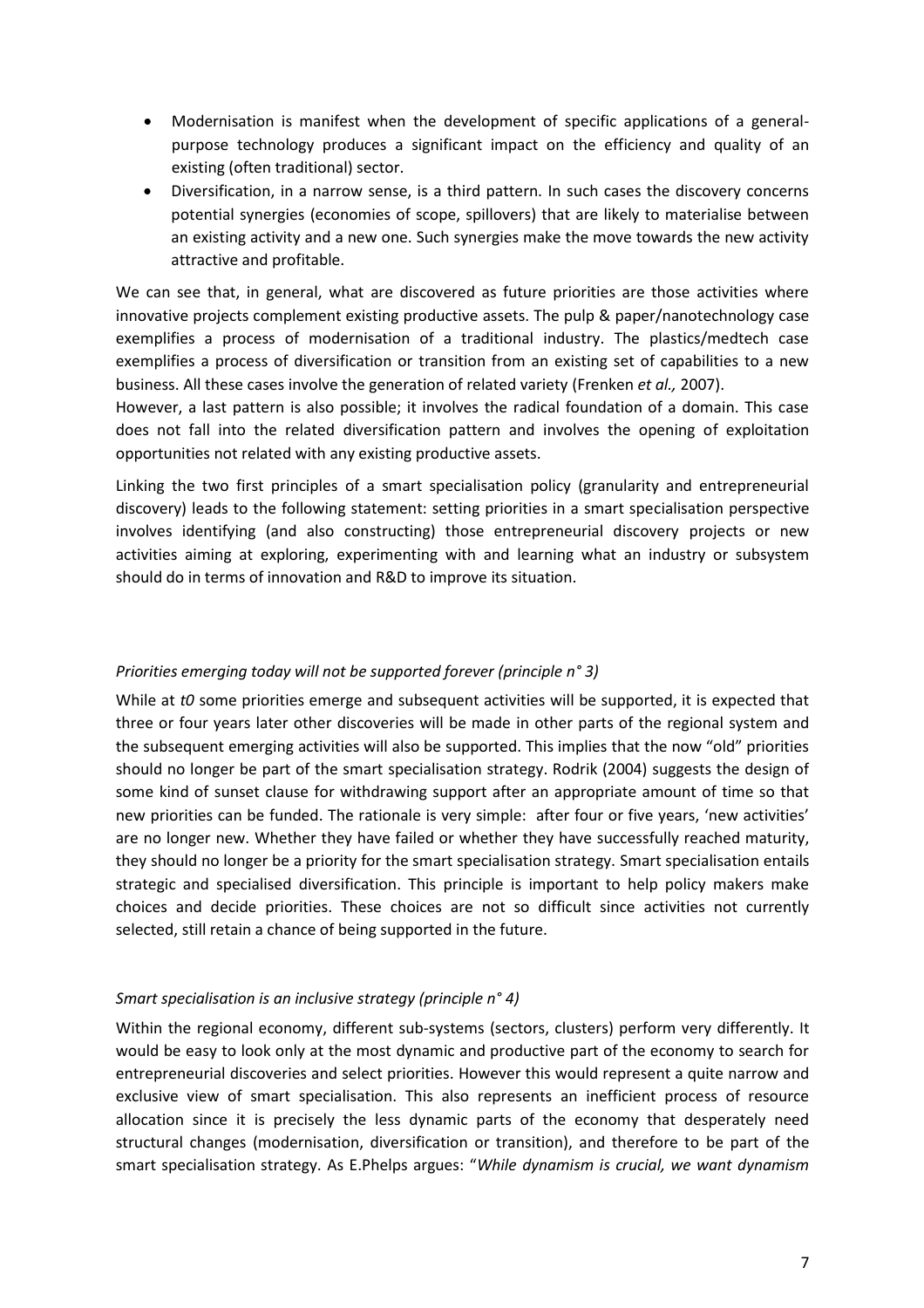- Modernisation is manifest when the development of specific applications of a generalpurpose technology produces a significant impact on the efficiency and quality of an existing (often traditional) sector.
- Diversification, in a narrow sense, is a third pattern. In such cases the discovery concerns potential synergies (economies of scope, spillovers) that are likely to materialise between an existing activity and a new one. Such synergies make the move towards the new activity attractive and profitable.

We can see that, in general, what are discovered as future priorities are those activities where innovative projects complement existing productive assets. The pulp & paper/nanotechnology case exemplifies a process of modernisation of a traditional industry. The plastics/medtech case exemplifies a process of diversification or transition from an existing set of capabilities to a new business. All these cases involve the generation of related variety (Frenken *et al.,* 2007).

However, a last pattern is also possible; it involves the radical foundation of a domain. This case does not fall into the related diversification pattern and involves the opening of exploitation opportunities not related with any existing productive assets.

Linking the two first principles of a smart specialisation policy (granularity and entrepreneurial discovery) leads to the following statement: setting priorities in a smart specialisation perspective involves identifying (and also constructing) those entrepreneurial discovery projects or new activities aiming at exploring, experimenting with and learning what an industry or subsystem should do in terms of innovation and R&D to improve its situation.

#### *Priorities emerging today will not be supported forever (principle n° 3)*

While at *t0* some priorities emerge and subsequent activities will be supported, it is expected that three or four years later other discoveries will be made in other parts of the regional system and the subsequent emerging activities will also be supported. This implies that the now "old" priorities should no longer be part of the smart specialisation strategy. Rodrik (2004) suggests the design of some kind of sunset clause for withdrawing support after an appropriate amount of time so that new priorities can be funded. The rationale is very simple: after four or five years, 'new activities' are no longer new. Whether they have failed or whether they have successfully reached maturity, they should no longer be a priority for the smart specialisation strategy. Smart specialisation entails strategic and specialised diversification. This principle is important to help policy makers make choices and decide priorities. These choices are not so difficult since activities not currently selected, still retain a chance of being supported in the future.

#### *Smart specialisation is an inclusive strategy (principle n° 4)*

Within the regional economy, different sub-systems (sectors, clusters) perform very differently. It would be easy to look only at the most dynamic and productive part of the economy to search for entrepreneurial discoveries and select priorities. However this would represent a quite narrow and exclusive view of smart specialisation. This also represents an inefficient process of resource allocation since it is precisely the less dynamic parts of the economy that desperately need structural changes (modernisation, diversification or transition), and therefore to be part of the smart specialisation strategy. As E.Phelps argues: "*While dynamism is crucial, we want dynamism*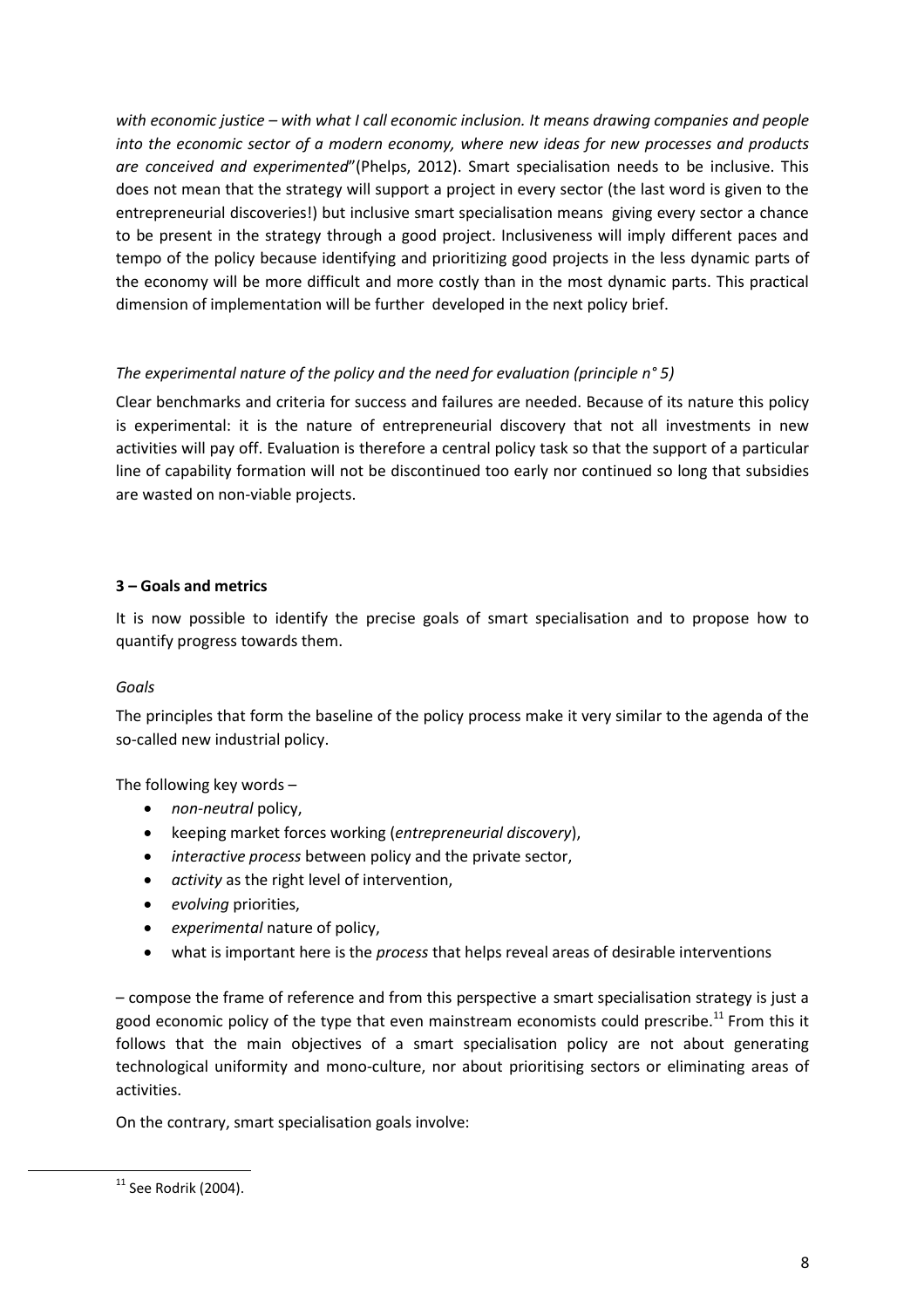*with economic justice – with what I call economic inclusion. It means drawing companies and people into the economic sector of a modern economy, where new ideas for new processes and products are conceived and experimented*"(Phelps, 2012). Smart specialisation needs to be inclusive. This does not mean that the strategy will support a project in every sector (the last word is given to the entrepreneurial discoveries!) but inclusive smart specialisation means giving every sector a chance to be present in the strategy through a good project. Inclusiveness will imply different paces and tempo of the policy because identifying and prioritizing good projects in the less dynamic parts of the economy will be more difficult and more costly than in the most dynamic parts. This practical dimension of implementation will be further developed in the next policy brief.

#### *The experimental nature of the policy and the need for evaluation (principle n° 5)*

Clear benchmarks and criteria for success and failures are needed. Because of its nature this policy is experimental: it is the nature of entrepreneurial discovery that not all investments in new activities will pay off. Evaluation is therefore a central policy task so that the support of a particular line of capability formation will not be discontinued too early nor continued so long that subsidies are wasted on non-viable projects.

#### **3 – Goals and metrics**

It is now possible to identify the precise goals of smart specialisation and to propose how to quantify progress towards them.

#### *Goals*

The principles that form the baseline of the policy process make it very similar to the agenda of the so-called new industrial policy.

The following key words –

- *non-neutral* policy,
- keeping market forces working (*entrepreneurial discovery*),
- *interactive process* between policy and the private sector,
- *activity* as the right level of intervention,
- *evolving* priorities,
- *experimental* nature of policy,
- what is important here is the *process* that helps reveal areas of desirable interventions

– compose the frame of reference and from this perspective a smart specialisation strategy is just a good economic policy of the type that even mainstream economists could prescribe.<sup>11</sup> From this it follows that the main objectives of a smart specialisation policy are not about generating technological uniformity and mono-culture, nor about prioritising sectors or eliminating areas of activities.

On the contrary, smart specialisation goals involve:

 $\overline{a}$ 

 $11$  See Rodrik (2004).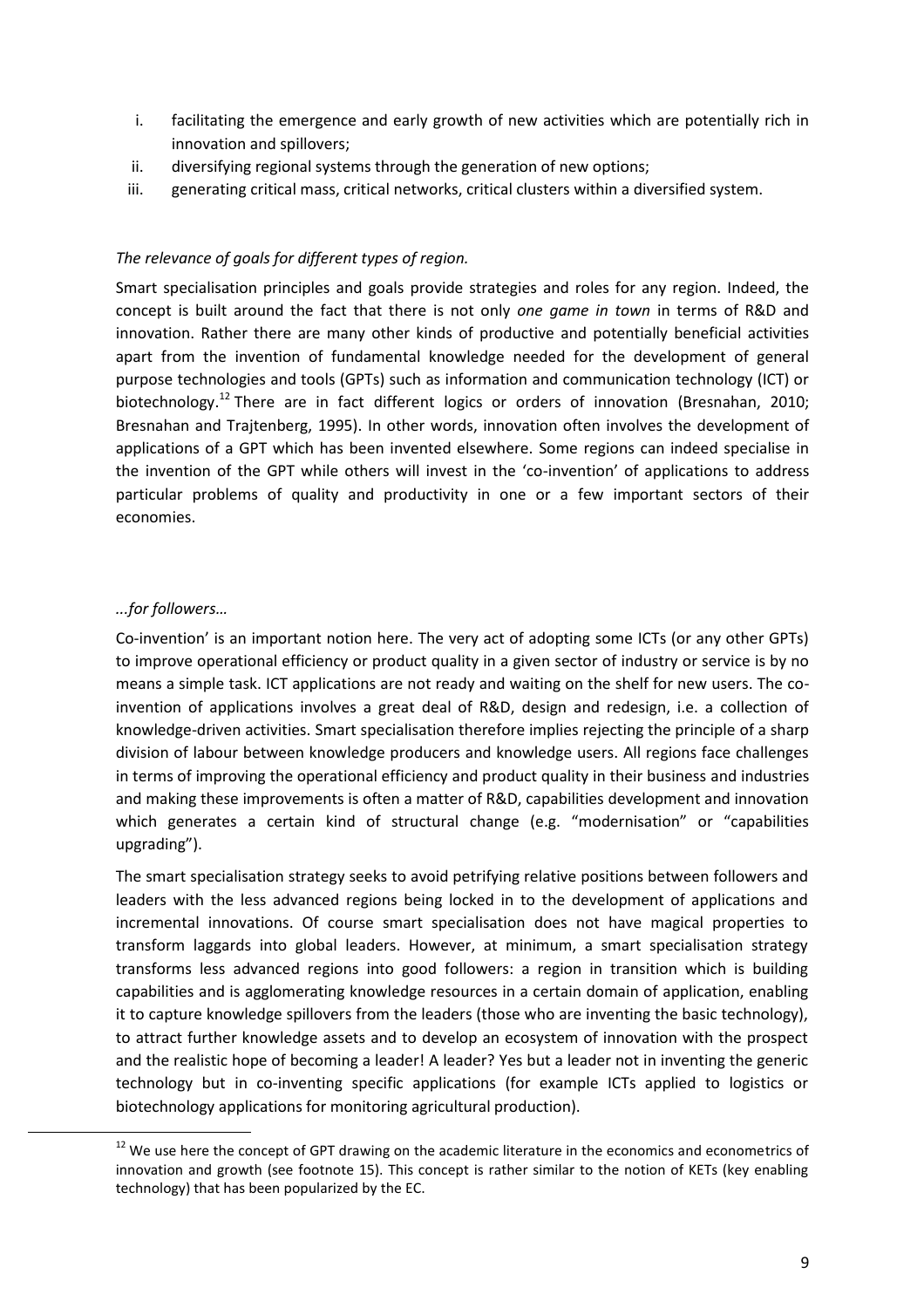- i. facilitating the emergence and early growth of new activities which are potentially rich in innovation and spillovers;
- ii. diversifying regional systems through the generation of new options;
- iii. generating critical mass, critical networks, critical clusters within a diversified system.

#### *The relevance of goals for different types of region.*

Smart specialisation principles and goals provide strategies and roles for any region. Indeed, the concept is built around the fact that there is not only *one game in town* in terms of R&D and innovation. Rather there are many other kinds of productive and potentially beneficial activities apart from the invention of fundamental knowledge needed for the development of general purpose technologies and tools (GPTs) such as information and communication technology (ICT) or biotechnology.<sup>12</sup> There are in fact different logics or orders of innovation (Bresnahan, 2010; Bresnahan and Trajtenberg, 1995). In other words, innovation often involves the development of applications of a GPT which has been invented elsewhere. Some regions can indeed specialise in the invention of the GPT while others will invest in the 'co-invention' of applications to address particular problems of quality and productivity in one or a few important sectors of their economies.

#### *...for followers…*

 $\overline{a}$ 

Co-invention' is an important notion here. The very act of adopting some ICTs (or any other GPTs) to improve operational efficiency or product quality in a given sector of industry or service is by no means a simple task. ICT applications are not ready and waiting on the shelf for new users. The coinvention of applications involves a great deal of R&D, design and redesign, i.e. a collection of knowledge-driven activities. Smart specialisation therefore implies rejecting the principle of a sharp division of labour between knowledge producers and knowledge users. All regions face challenges in terms of improving the operational efficiency and product quality in their business and industries and making these improvements is often a matter of R&D, capabilities development and innovation which generates a certain kind of structural change (e.g. "modernisation" or "capabilities upgrading").

The smart specialisation strategy seeks to avoid petrifying relative positions between followers and leaders with the less advanced regions being locked in to the development of applications and incremental innovations. Of course smart specialisation does not have magical properties to transform laggards into global leaders. However, at minimum, a smart specialisation strategy transforms less advanced regions into good followers: a region in transition which is building capabilities and is agglomerating knowledge resources in a certain domain of application, enabling it to capture knowledge spillovers from the leaders (those who are inventing the basic technology), to attract further knowledge assets and to develop an ecosystem of innovation with the prospect and the realistic hope of becoming a leader! A leader? Yes but a leader not in inventing the generic technology but in co-inventing specific applications (for example ICTs applied to logistics or biotechnology applications for monitoring agricultural production).

<sup>&</sup>lt;sup>12</sup> We use here the concept of GPT drawing on the academic literature in the economics and econometrics of innovation and growth (see footnote 15). This concept is rather similar to the notion of KETs (key enabling technology) that has been popularized by the EC.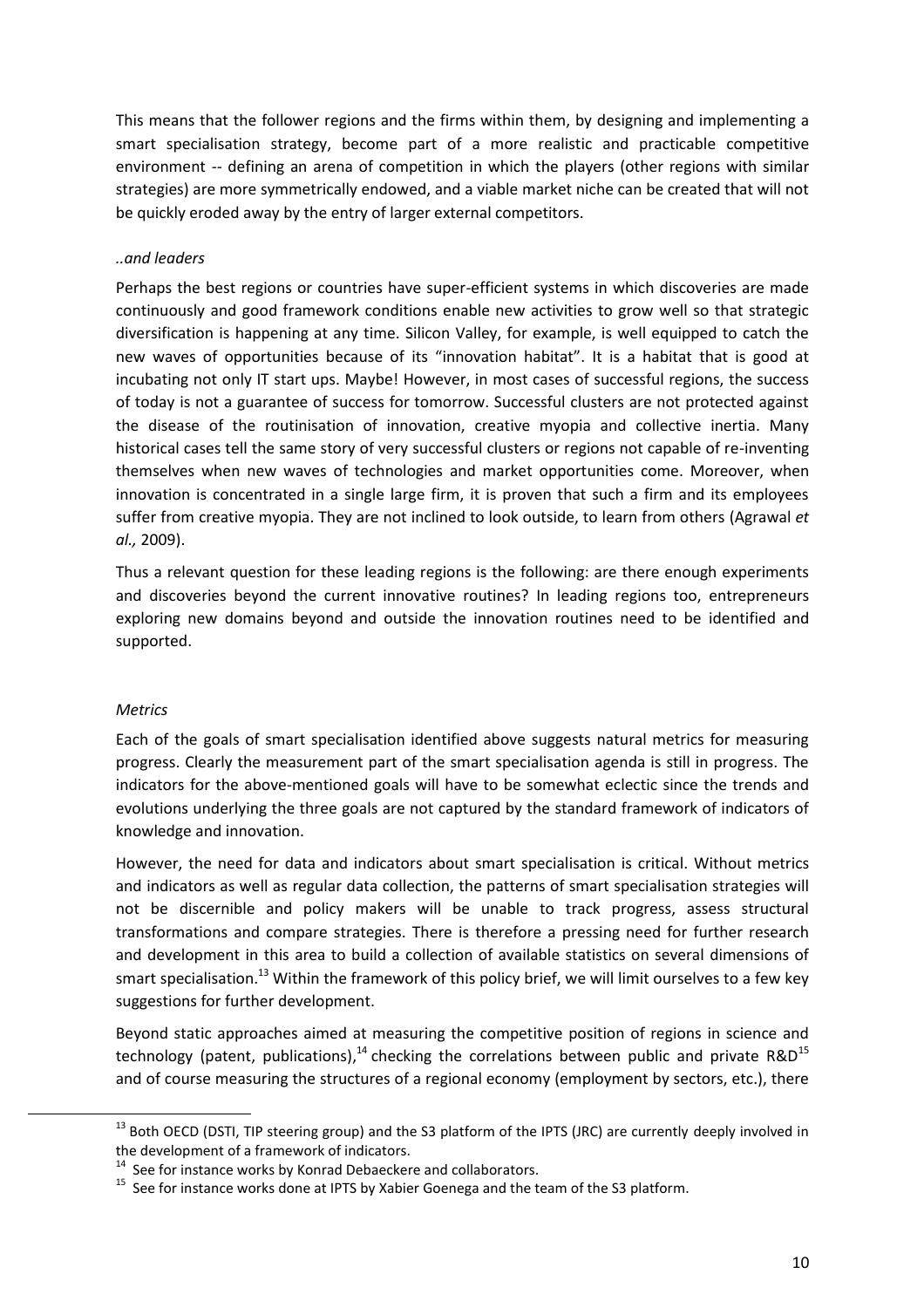This means that the follower regions and the firms within them, by designing and implementing a smart specialisation strategy, become part of a more realistic and practicable competitive environment -- defining an arena of competition in which the players (other regions with similar strategies) are more symmetrically endowed, and a viable market niche can be created that will not be quickly eroded away by the entry of larger external competitors.

#### *..and leaders*

Perhaps the best regions or countries have super-efficient systems in which discoveries are made continuously and good framework conditions enable new activities to grow well so that strategic diversification is happening at any time. Silicon Valley, for example, is well equipped to catch the new waves of opportunities because of its "innovation habitat". It is a habitat that is good at incubating not only IT start ups. Maybe! However, in most cases of successful regions, the success of today is not a guarantee of success for tomorrow. Successful clusters are not protected against the disease of the routinisation of innovation, creative myopia and collective inertia. Many historical cases tell the same story of very successful clusters or regions not capable of re-inventing themselves when new waves of technologies and market opportunities come. Moreover, when innovation is concentrated in a single large firm, it is proven that such a firm and its employees suffer from creative myopia. They are not inclined to look outside, to learn from others (Agrawal *et al.,* 2009).

Thus a relevant question for these leading regions is the following: are there enough experiments and discoveries beyond the current innovative routines? In leading regions too, entrepreneurs exploring new domains beyond and outside the innovation routines need to be identified and supported.

#### *Metrics*

 $\overline{a}$ 

Each of the goals of smart specialisation identified above suggests natural metrics for measuring progress. Clearly the measurement part of the smart specialisation agenda is still in progress. The indicators for the above-mentioned goals will have to be somewhat eclectic since the trends and evolutions underlying the three goals are not captured by the standard framework of indicators of knowledge and innovation.

However, the need for data and indicators about smart specialisation is critical. Without metrics and indicators as well as regular data collection, the patterns of smart specialisation strategies will not be discernible and policy makers will be unable to track progress, assess structural transformations and compare strategies. There is therefore a pressing need for further research and development in this area to build a collection of available statistics on several dimensions of smart specialisation.<sup>13</sup> Within the framework of this policy brief, we will limit ourselves to a few key suggestions for further development.

Beyond static approaches aimed at measuring the competitive position of regions in science and technology (patent, publications),<sup>14</sup> checking the correlations between public and private R&D<sup>15</sup> and of course measuring the structures of a regional economy (employment by sectors, etc.), there

<sup>&</sup>lt;sup>13</sup> Both OECD (DSTI, TIP steering group) and the S3 platform of the IPTS (JRC) are currently deeply involved in the development of a framework of indicators.

<sup>&</sup>lt;sup>14</sup> See for instance works by Konrad Debaeckere and collaborators.

<sup>&</sup>lt;sup>15</sup> See for instance works done at IPTS by Xabier Goenega and the team of the S3 platform.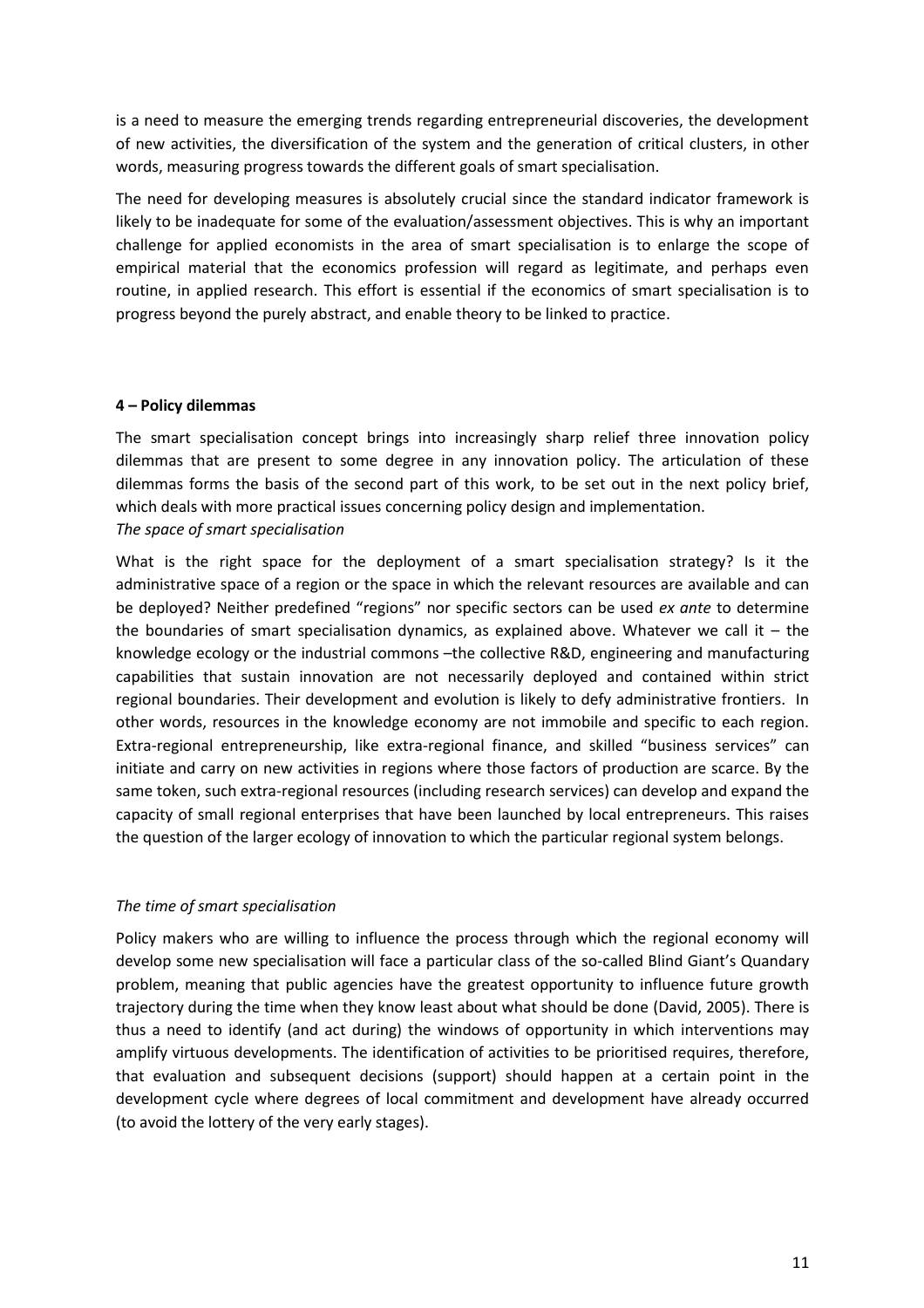is a need to measure the emerging trends regarding entrepreneurial discoveries, the development of new activities, the diversification of the system and the generation of critical clusters, in other words, measuring progress towards the different goals of smart specialisation.

The need for developing measures is absolutely crucial since the standard indicator framework is likely to be inadequate for some of the evaluation/assessment objectives. This is why an important challenge for applied economists in the area of smart specialisation is to enlarge the scope of empirical material that the economics profession will regard as legitimate, and perhaps even routine, in applied research. This effort is essential if the economics of smart specialisation is to progress beyond the purely abstract, and enable theory to be linked to practice.

#### **4 – Policy dilemmas**

The smart specialisation concept brings into increasingly sharp relief three innovation policy dilemmas that are present to some degree in any innovation policy. The articulation of these dilemmas forms the basis of the second part of this work, to be set out in the next policy brief, which deals with more practical issues concerning policy design and implementation. *The space of smart specialisation*

What is the right space for the deployment of a smart specialisation strategy? Is it the administrative space of a region or the space in which the relevant resources are available and can be deployed? Neither predefined "regions" nor specific sectors can be used *ex ante* to determine the boundaries of smart specialisation dynamics, as explained above. Whatever we call it  $-$  the knowledge ecology or the industrial commons –the collective R&D, engineering and manufacturing capabilities that sustain innovation are not necessarily deployed and contained within strict regional boundaries. Their development and evolution is likely to defy administrative frontiers. In other words, resources in the knowledge economy are not immobile and specific to each region. Extra-regional entrepreneurship, like extra-regional finance, and skilled "business services" can initiate and carry on new activities in regions where those factors of production are scarce. By the same token, such extra-regional resources (including research services) can develop and expand the capacity of small regional enterprises that have been launched by local entrepreneurs. This raises the question of the larger ecology of innovation to which the particular regional system belongs.

#### *The time of smart specialisation*

Policy makers who are willing to influence the process through which the regional economy will develop some new specialisation will face a particular class of the so-called Blind Giant's Quandary problem, meaning that public agencies have the greatest opportunity to influence future growth trajectory during the time when they know least about what should be done (David, 2005). There is thus a need to identify (and act during) the windows of opportunity in which interventions may amplify virtuous developments. The identification of activities to be prioritised requires, therefore, that evaluation and subsequent decisions (support) should happen at a certain point in the development cycle where degrees of local commitment and development have already occurred (to avoid the lottery of the very early stages).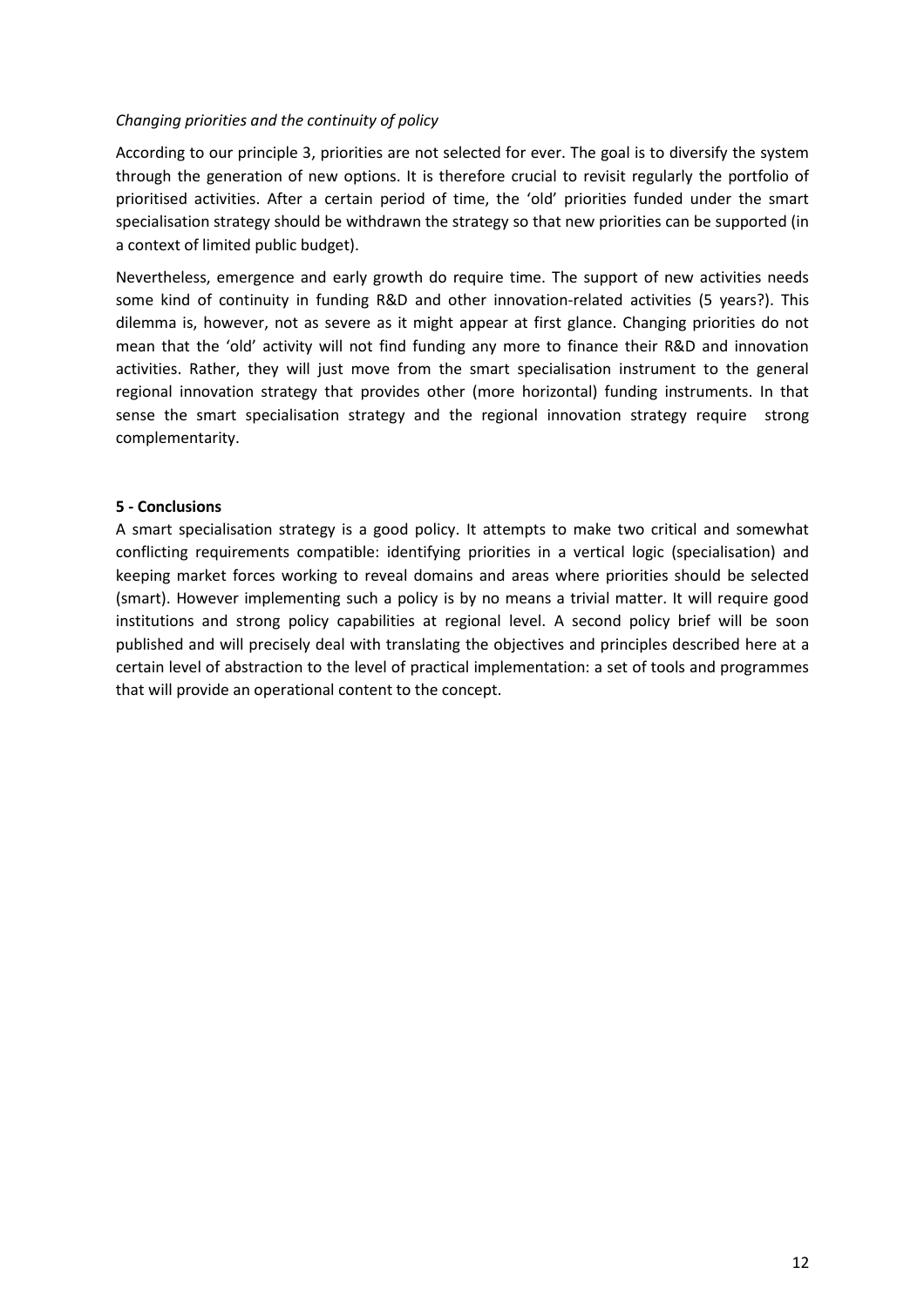#### *Changing priorities and the continuity of policy*

According to our principle 3, priorities are not selected for ever. The goal is to diversify the system through the generation of new options. It is therefore crucial to revisit regularly the portfolio of prioritised activities. After a certain period of time, the 'old' priorities funded under the smart specialisation strategy should be withdrawn the strategy so that new priorities can be supported (in a context of limited public budget).

Nevertheless, emergence and early growth do require time. The support of new activities needs some kind of continuity in funding R&D and other innovation-related activities (5 years?). This dilemma is, however, not as severe as it might appear at first glance. Changing priorities do not mean that the 'old' activity will not find funding any more to finance their R&D and innovation activities. Rather, they will just move from the smart specialisation instrument to the general regional innovation strategy that provides other (more horizontal) funding instruments. In that sense the smart specialisation strategy and the regional innovation strategy require strong complementarity.

#### **5 - Conclusions**

A smart specialisation strategy is a good policy. It attempts to make two critical and somewhat conflicting requirements compatible: identifying priorities in a vertical logic (specialisation) and keeping market forces working to reveal domains and areas where priorities should be selected (smart). However implementing such a policy is by no means a trivial matter. It will require good institutions and strong policy capabilities at regional level. A second policy brief will be soon published and will precisely deal with translating the objectives and principles described here at a certain level of abstraction to the level of practical implementation: a set of tools and programmes that will provide an operational content to the concept.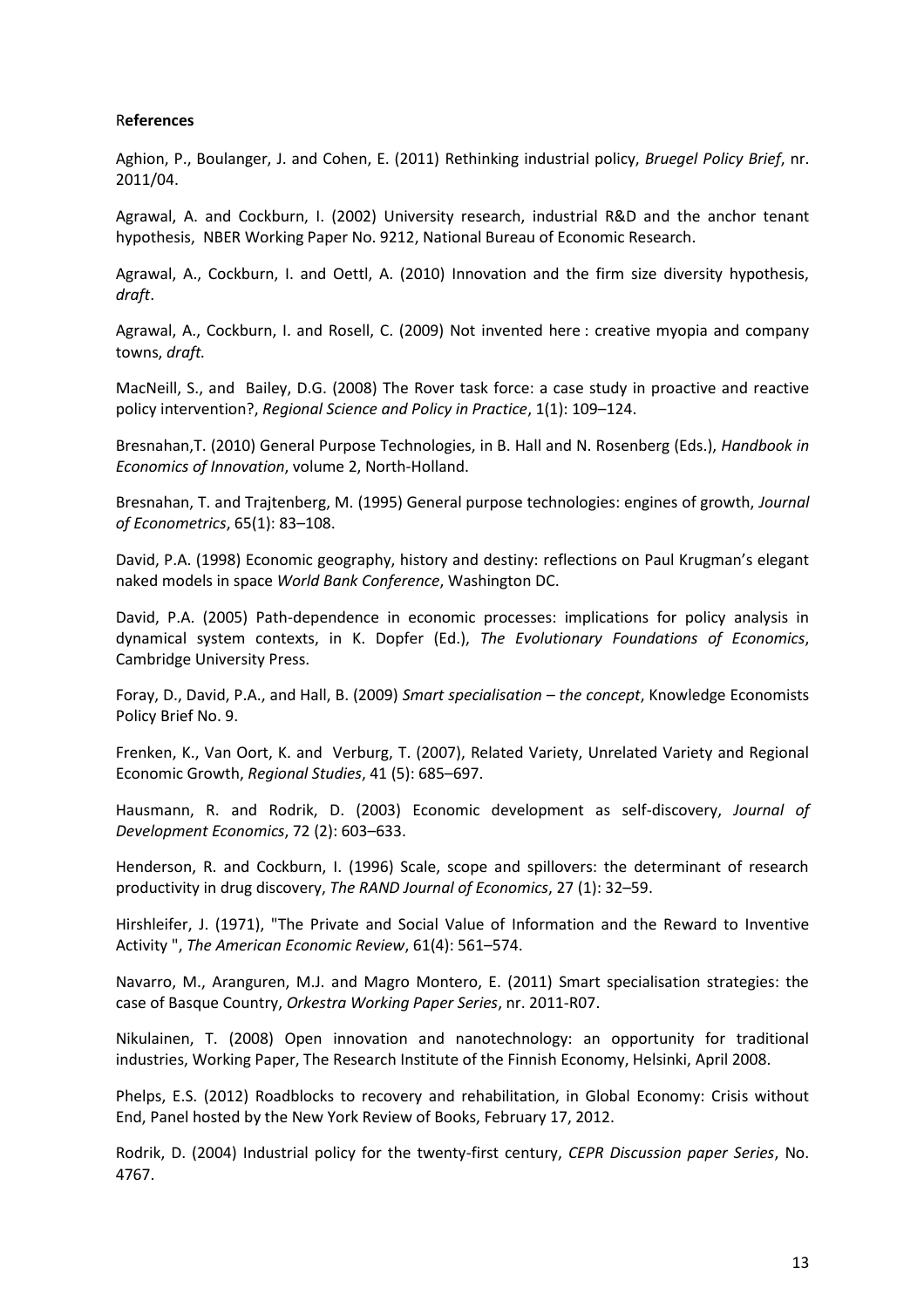#### R**eferences**

Aghion, P., Boulanger, J. and Cohen, E. (2011) Rethinking industrial policy, *Bruegel Policy Brief*, nr. 2011/04.

Agrawal, A. and Cockburn, I. (2002) University research, industrial R&D and the anchor tenant hypothesis, NBER Working Paper No. 9212, National Bureau of Economic Research.

Agrawal, A., Cockburn, I. and Oettl, A. (2010) Innovation and the firm size diversity hypothesis, *draft*.

Agrawal, A., Cockburn, I. and Rosell, C. (2009) Not invented here : creative myopia and company towns, *draft.*

MacNeill, S., and Bailey, D.G. (2008) The Rover task force: a case study in proactive and reactive policy intervention?, *Regional Science and Policy in Practice*, 1(1): 109–124.

Bresnahan,T. (2010) General Purpose Technologies, in B. Hall and N. Rosenberg (Eds.), *Handbook in Economics of Innovation*, volume 2, North-Holland.

Bresnahan, T. and Trajtenberg, M. (1995) General purpose technologies: engines of growth, *Journal of Econometrics*, 65(1): 83–108.

David, P.A. (1998) Economic geography, history and destiny: reflections on Paul Krugman's elegant naked models in space *World Bank Conference*, Washington DC.

David, P.A. (2005) Path-dependence in economic processes: implications for policy analysis in dynamical system contexts, in K. Dopfer (Ed.), *The Evolutionary Foundations of Economics*, Cambridge University Press.

Foray, D., David, P.A., and Hall, B. (2009) *Smart specialisation – the concept*, Knowledge Economists Policy Brief No. 9.

Frenken, K., Van Oort, K. and Verburg, T. (2007), Related Variety, Unrelated Variety and Regional Economic Growth, *Regional Studies*, 41 (5): 685–697.

Hausmann, R. and Rodrik, D. (2003) Economic development as self-discovery, *Journal of Development Economics*, 72 (2): 603–633.

Henderson, R. and Cockburn, I. (1996) Scale, scope and spillovers: the determinant of research productivity in drug discovery, *The RAND Journal of Economics*, 27 (1): 32–59.

Hirshleifer, J. (1971), "The Private and Social Value of Information and the Reward to Inventive Activity ", *The American Economic Review*, 61(4): 561–574.

Navarro, M., Aranguren, M.J. and Magro Montero, E. (2011) Smart specialisation strategies: the case of Basque Country, *Orkestra Working Paper Series*, nr. 2011-R07.

Nikulainen, T. (2008) Open innovation and nanotechnology: an opportunity for traditional industries, Working Paper, The Research Institute of the Finnish Economy, Helsinki, April 2008.

Phelps, E.S. (2012) Roadblocks to recovery and rehabilitation, in Global Economy: Crisis without End, Panel hosted by the New York Review of Books, February 17, 2012.

Rodrik, D. (2004) Industrial policy for the twenty-first century, *CEPR Discussion paper Series*, No. 4767.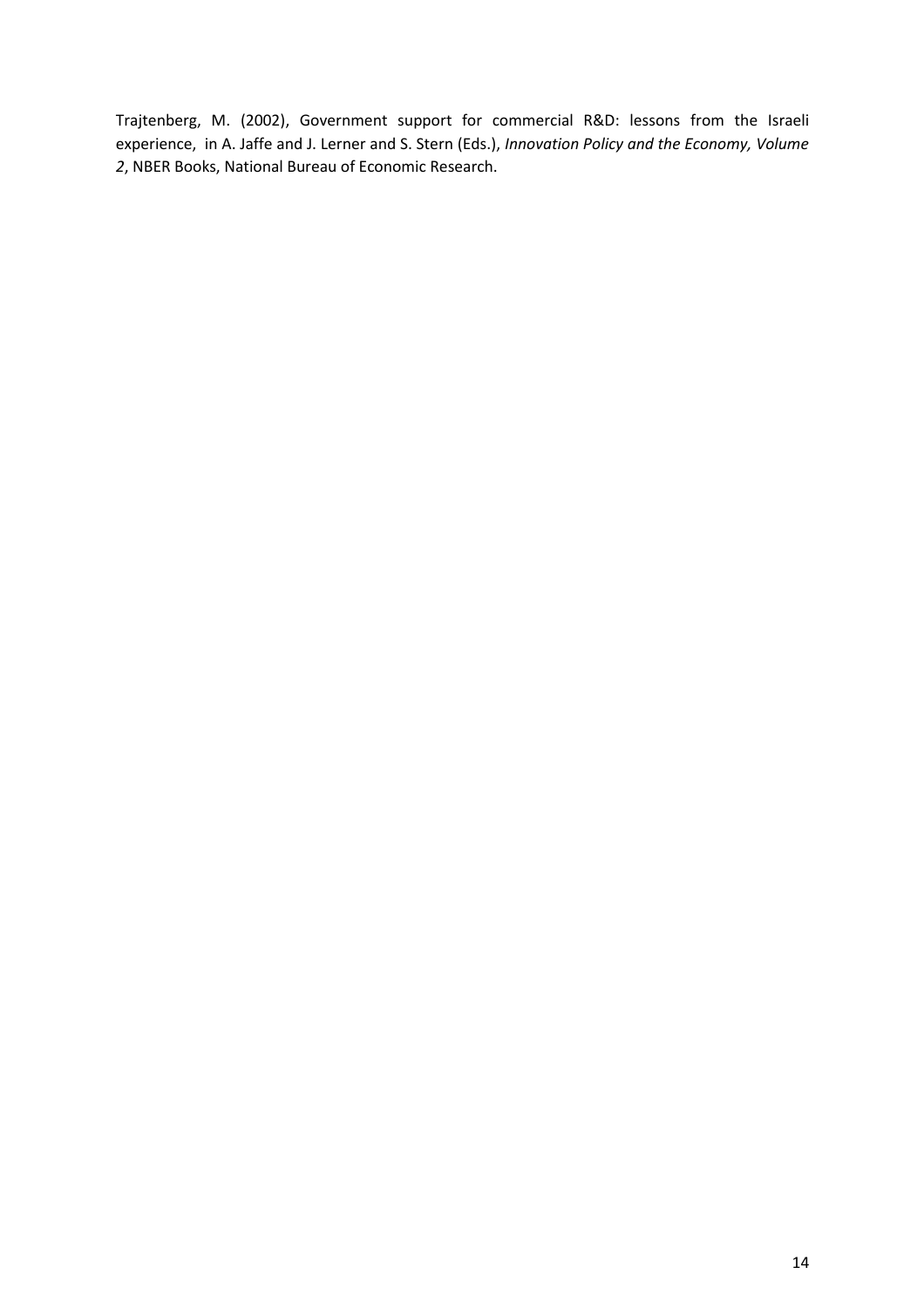Trajtenberg, M. (2002), Government support for commercial R&D: lessons from the Israeli experience, in A. Jaffe and J. Lerner and S. Stern (Eds.), *Innovation Policy and the Economy, Volume 2*, NBER Books, National Bureau of Economic Research.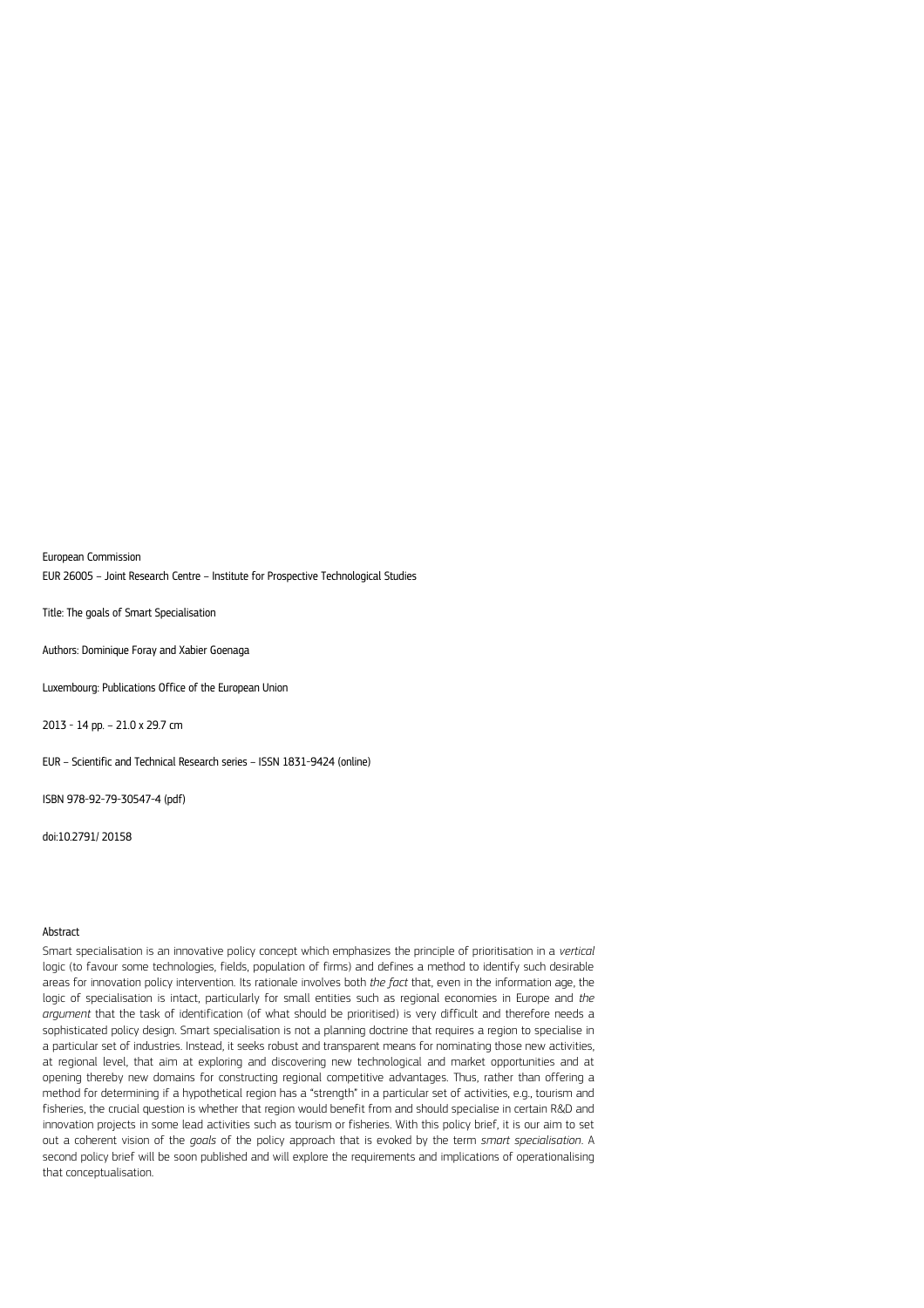European Commission EUR 26005 – Joint Research Centre – Institute for Prospective Technological Studies

Title: The goals of Smart Specialisation

Authors: Dominique Foray and Xabier Goenaga

Luxembourg: Publications Office of the European Union

2013 - 14 pp. – 21.0 x 29.7 cm

EUR – Scientific and Technical Research series – ISSN 1831-9424 (online)

ISBN 978-92-79-30547-4 (pdf)

doi:10.2791/ 20158

#### Abstract

Smart specialisation is an innovative policy concept which emphasizes the principle of prioritisation in a *vertical* logic (to favour some technologies, fields, population of firms) and defines a method to identify such desirable areas for innovation policy intervention. Its rationale involves both *the fact* that, even in the information age, the logic of specialisation is intact, particularly for small entities such as regional economies in Europe and *the argument* that the task of identification (of what should be prioritised) is very difficult and therefore needs a sophisticated policy design. Smart specialisation is not a planning doctrine that requires a region to specialise in a particular set of industries. Instead, it seeks robust and transparent means for nominating those new activities, at regional level, that aim at exploring and discovering new technological and market opportunities and at opening thereby new domains for constructing regional competitive advantages. Thus, rather than offering a method for determining if a hypothetical region has a "strength" in a particular set of activities, e.g., tourism and fisheries, the crucial question is whether that region would benefit from and should specialise in certain R&D and innovation projects in some lead activities such as tourism or fisheries. With this policy brief, it is our aim to set out a coherent vision of the *goals* of the policy approach that is evoked by the term *smart specialisation*. A second policy brief will be soon published and will explore the requirements and implications of operationalising that conceptualisation.